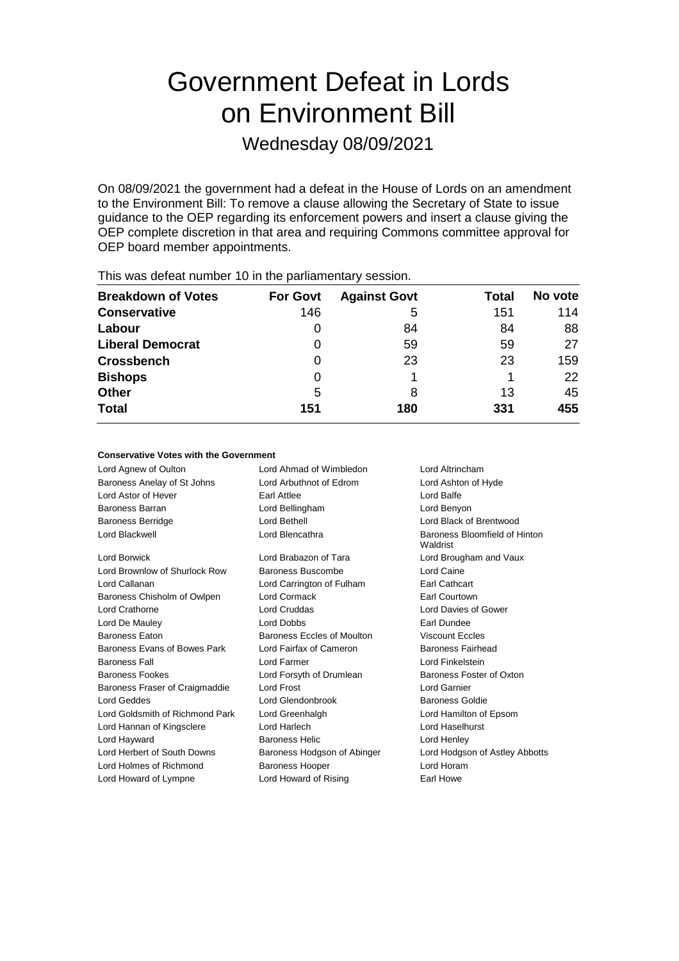# Government Defeat in Lords on Environment Bill

Wednesday 08/09/2021

On 08/09/2021 the government had a defeat in the House of Lords on an amendment to the Environment Bill: To remove a clause allowing the Secretary of State to issue guidance to the OEP regarding its enforcement powers and insert a clause giving the OEP complete discretion in that area and requiring Commons committee approval for OEP board member appointments.

| This was abloat harmoof to in the parliamentary occolor. |                 |                     |       |         |  |  |  |
|----------------------------------------------------------|-----------------|---------------------|-------|---------|--|--|--|
| <b>Breakdown of Votes</b>                                | <b>For Govt</b> | <b>Against Govt</b> | Total | No vote |  |  |  |
| <b>Conservative</b>                                      | 146             | 5                   | 151   | 114     |  |  |  |
| Labour                                                   | 0               | 84                  | 84    | 88      |  |  |  |
| <b>Liberal Democrat</b>                                  | 0               | 59                  | 59    | 27      |  |  |  |
| <b>Crossbench</b>                                        | 0               | 23                  | 23    | 159     |  |  |  |
| <b>Bishops</b>                                           | 0               |                     |       | 22      |  |  |  |
| <b>Other</b>                                             | 5               | 8                   | 13    | 45      |  |  |  |
| <b>Total</b>                                             | 151             | 180                 | 331   | 455     |  |  |  |
|                                                          |                 |                     |       |         |  |  |  |

This was defeat number 10 in the parliamentary session.

#### **Conservative Votes with the Government**

Lord Agnew of Oulton Lord Ahmad of Wimbledon Lord Altrincham Baroness Anelay of St Johns Lord Arbuthnot of Edrom Lord Ashton of Hyde Lord Astor of Hever **Earl Attlee Earl Attlee Earl Attlee Lord Balfe** Baroness Barran Lord Bellingham Lord Benyon Baroness Berridge Lord Bethell Lord Black of Brentwood Lord Blackwell Lord Blencathra Baroness Bloomfield of Hinton Waldrist Lord Borwick Lord Brabazon of Tara Lord Brougham and Vaux Lord Brownlow of Shurlock Row Baroness Buscombe Lord Caine Lord Callanan Lord Carrington of Fulham Earl Cathcart Baroness Chisholm of Owlpen Lord Cormack **Earl Courtown** Lord Crathorne Lord Cruddas Lord Davies of Gower Lord De Mauley **Accord 2008** Lord Dobbs **Case Contract Contract Contract Contract Contract Contract Contract Contract Contract Contract Contract Contract Contract Contract Contract Contract Contract Contract Contract Contr** Baroness Eaton Baroness Eccles of Moulton Viscount Eccles Baroness Evans of Bowes Park Lord Fairfax of Cameron Baroness Fairhead Baroness Fall Lord Farmer Lord Finkelstein Baroness Fookes **Lord Forsyth of Drumlean** Baroness Foster of Oxton Baroness Fraser of Craigmaddie Lord Frost Lord Carnier Lord Geddes Lord Glendonbrook Baroness Goldie Lord Goldsmith of Richmond Park Lord Greenhalgh Lord Hamilton of Epsom Lord Hannan of Kingsclere Lord Harlech Lord Haselhurst Lord Hayward Baroness Helic Lord Henley Lord Herbert of South Downs Baroness Hodgson of Abinger Lord Hodgson of Astley Abbotts Lord Holmes of Richmond Baroness Hooper Lord Horam Lord Howard of Lympne Lord Howard of Rising Earl Howe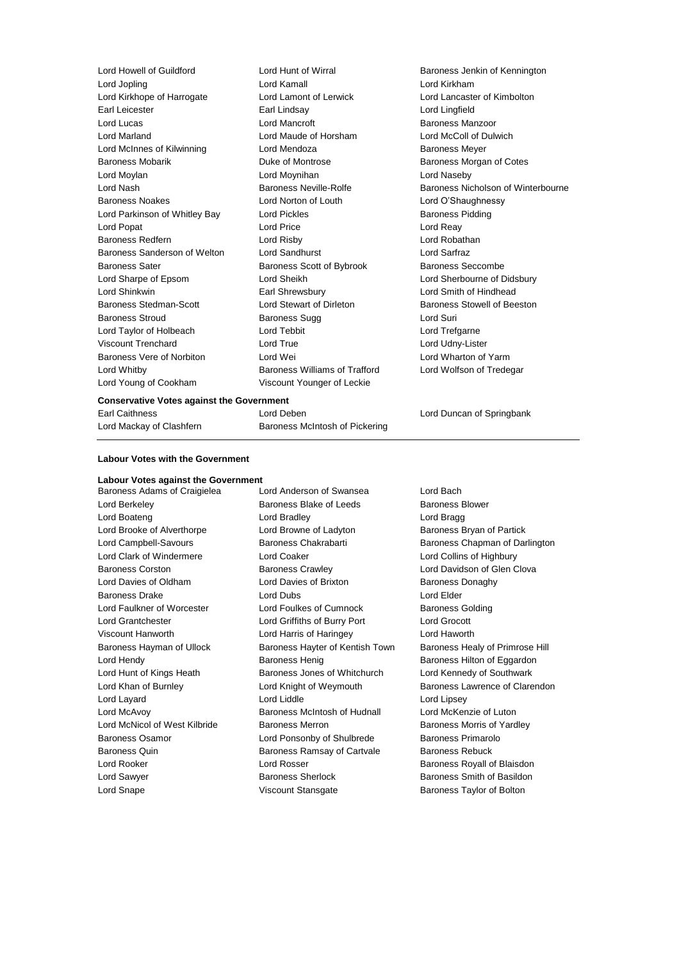Lord Howell of Guildford Lord Hunt of Wirral Baroness Jenkin of Kennington Lord Jopling Lord Kamall Lord Kirkham Lord Kirkhope of Harrogate Lord Lamont of Lerwick Lord Lancaster of Kimbolton Earl Leicester Earl Lindsay Lord Lingfield Lord Lucas Lord Mancroft Baroness Manzoor Lord Marland Lord Maude of Horsham Lord McColl of Dulwich Lord McInnes of Kilwinning **Lord Mendoza Baroness Meyer** Baroness Mobarik Duke of Montrose Baroness Morgan of Cotes Lord Moylan Lord Moynihan Lord Naseby Lord Nash **Baroness Neville-Rolfe** Baroness Neville-Rolfe Baroness Nicholson of Winterbourne Baroness Noakes Lord Norton of Louth Lord O'Shaughnessy Lord Parkinson of Whitley Bay **Lord Pickles** Baroness Pidding Lord Popat Lord Price Lord Reay Baroness Redfern Lord Risby Lord Robathan Baroness Sanderson of Welton Lord Sandhurst Lord Sarfraz Baroness Sater **Baroness Scott of Bybrook** Baroness Seccombe Lord Sharpe of Epsom Lord Sheikh Lord Sherbourne of Didsbury Lord Shinkwin Earl Shrewsbury Lord Smith of Hindhead Baroness Stedman-Scott Lord Stewart of Dirleton Baroness Stowell of Beeston Baroness Stroud **Baroness Sugg Lord Suring Stroud Suring Baroness Sugg** Lord Suring Lord Suring Baroness Sugg Lord Taylor of Holbeach Lord Tebbit Lord Trefgarne Viscount Trenchard **Communist Communist Lord True** Communist Cord Udny-Lister<br>
Lord Wei Cord Wei Lord Wei Lord Warm Lord Wharton of Yarm Baroness Vere of Norbiton **Lord Wei** Lord Whitby Baroness Williams of Trafford Lord Wolfson of Tredegar Lord Young of Cookham Viscount Younger of Leckie

**Conservative Votes against the Government**

Earl Caithness Lord Deben Lord Duncan of Springbank

### **Labour Votes with the Government**

Lord Mackay of Clashfern Baroness McIntosh of Pickering

## **Labour Votes against the Government**

Baroness Adams of Craigielea Lord Anderson of Swansea Lord Bach Lord Snape Viscount Stansgate Baroness Taylor of Bolton

Lord Berkeley **Baroness Blake of Leeds** Baroness Blower Lord Boateng Lord Bradley Lord Bragg Lord Brooke of Alverthorpe **Lord Browne of Ladyton** Baroness Bryan of Partick Lord Clark of Windermere Lord Coaker Lord Collins of Highbury Baroness Corston **Baroness Crawley Baroness Crawley Lord Davidson of Glen Clova** Lord Davies of Oldham **Lord Davies of Brixton** Baroness Donaghy Baroness Drake Lord Dubs Lord Elder Lord Faulkner of Worcester Lord Foulkes of Cumnock Baroness Golding Lord Grantchester Lord Griffiths of Burry Port Lord Grocott Viscount Hanworth Lord Harris of Haringey Lord Haworth Baroness Hayman of Ullock Baroness Hayter of Kentish Town Baroness Healy of Primrose Hill Lord Hendy Baroness Henig Baroness Hilton of Eggardon Lord Hunt of Kings Heath Baroness Jones of Whitchurch Lord Kennedy of Southwark Lord Layard Lord Liddle Lord Lipsey Lord McAvoy Baroness McIntosh of Hudnall Lord McKenzie of Luton Lord McNicol of West Kilbride Baroness Merron Baroness Morris of Yardley Baroness Osamor **Example 2** Lord Ponsonby of Shulbrede Baroness Primarolo Baroness Quin **Baroness Ramsay of Cartvale** Baroness Rebuck Lord Rooker **Lord Rosser** Communication Baroness Royall of Blaisdon Lord Sawyer **Baroness Sherlock** Baroness Sherlock Baroness Smith of Basildon

Lord Campbell-Savours **Baroness Chakrabarti** Baroness Chapman of Darlington Lord Khan of Burnley **Lord Knight of Weymouth** Baroness Lawrence of Clarendon